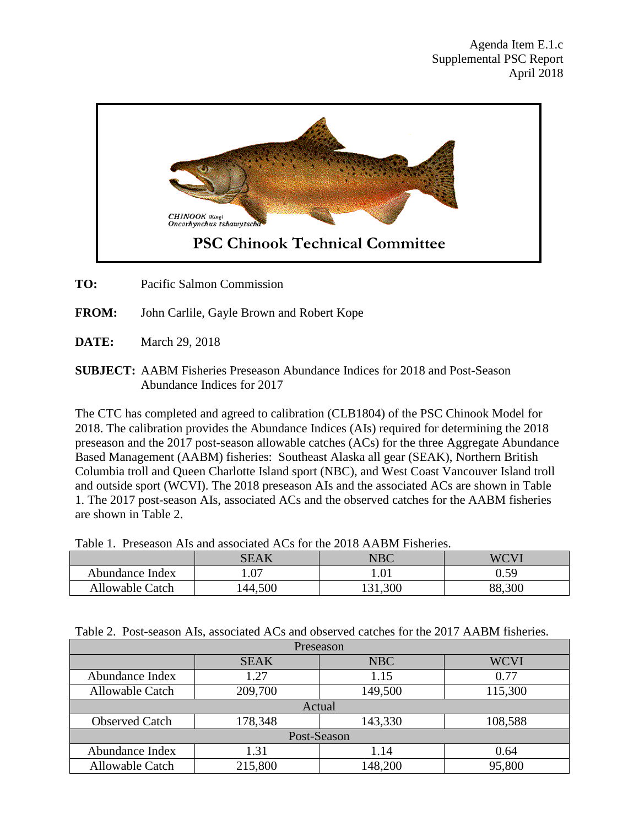

**TO:** Pacific Salmon Commission

- **FROM:** John Carlile, Gayle Brown and Robert Kope
- **DATE:** March 29, 2018
- **SUBJECT:** AABM Fisheries Preseason Abundance Indices for 2018 and Post-Season Abundance Indices for 2017

The CTC has completed and agreed to calibration (CLB1804) of the PSC Chinook Model for 2018. The calibration provides the Abundance Indices (AIs) required for determining the 2018 preseason and the 2017 post-season allowable catches (ACs) for the three Aggregate Abundance Based Management (AABM) fisheries: Southeast Alaska all gear (SEAK), Northern British Columbia troll and Queen Charlotte Island sport (NBC), and West Coast Vancouver Island troll and outside sport (WCVI). The 2018 preseason AIs and the associated ACs are shown in Table 1. The 2017 post-season AIs, associated ACs and the observed catches for the AABM fisheries are shown in Table 2.

Table 1. Preseason AIs and associated ACs for the 2018 AABM Fisheries.

|                        | SEAK             | ${\rm NBC}$ | WCVI        |
|------------------------|------------------|-------------|-------------|
| Abundance Index        | $\Omega$<br>. V. | $1.01\,$    | ∩ รฉ<br>U.J |
| <b>Allowable Catch</b> | 44,500           | 131,300     | 88,300      |

|  |  |  |  |  | Table 2. Post-season AIs, associated ACs and observed catches for the 2017 AABM fisheries. |
|--|--|--|--|--|--------------------------------------------------------------------------------------------|
|--|--|--|--|--|--------------------------------------------------------------------------------------------|

| Preseason              |             |         |             |  |  |  |
|------------------------|-------------|---------|-------------|--|--|--|
|                        | <b>SEAK</b> | NBC     | <b>WCVI</b> |  |  |  |
| Abundance Index        | 1.27        | 1.15    | 0.77        |  |  |  |
| <b>Allowable Catch</b> | 209,700     | 149,500 | 115,300     |  |  |  |
| Actual                 |             |         |             |  |  |  |
| <b>Observed Catch</b>  | 178,348     | 143,330 | 108,588     |  |  |  |
| Post-Season            |             |         |             |  |  |  |
| Abundance Index        | 1.31        | 1.14    | 0.64        |  |  |  |
| Allowable Catch        | 215,800     | 148,200 | 95,800      |  |  |  |